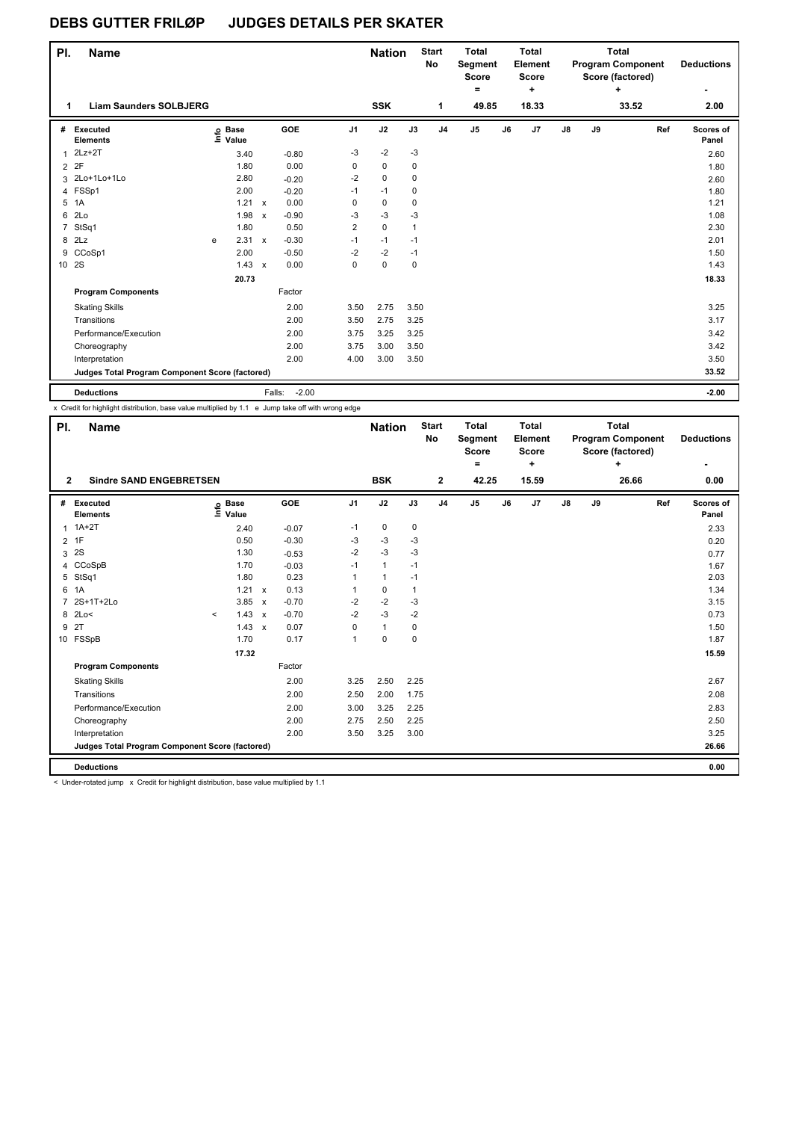## **DEBS GUTTER FRILØP JUDGES DETAILS PER SKATER**

| PI. | Name                                            |   |                   |                           |                   |                | <b>Nation</b> |              | <b>Start</b><br><b>No</b> | <b>Total</b><br>Segment<br><b>Score</b><br>۰ |    | <b>Total</b><br>Element<br><b>Score</b><br>٠ |               |    | <b>Total</b><br><b>Program Component</b><br>Score (factored)<br>٠ | <b>Deductions</b>  |
|-----|-------------------------------------------------|---|-------------------|---------------------------|-------------------|----------------|---------------|--------------|---------------------------|----------------------------------------------|----|----------------------------------------------|---------------|----|-------------------------------------------------------------------|--------------------|
| 1   | <b>Liam Saunders SOLBJERG</b>                   |   |                   |                           |                   |                | <b>SSK</b>    |              | 1                         | 49.85                                        |    | 18.33                                        |               |    | 33.52                                                             | 2.00               |
| #   | Executed<br><b>Elements</b>                     |   | e Base<br>⊑ Value |                           | <b>GOE</b>        | J <sub>1</sub> | J2            | J3           | J <sub>4</sub>            | J <sub>5</sub>                               | J6 | J7                                           | $\mathsf{J}8$ | J9 | Ref                                                               | Scores of<br>Panel |
| 1   | $2Lz+2T$                                        |   | 3.40              |                           | $-0.80$           | $-3$           | $-2$          | $-3$         |                           |                                              |    |                                              |               |    |                                                                   | 2.60               |
|     | 2 2F                                            |   | 1.80              |                           | 0.00              | 0              | 0             | 0            |                           |                                              |    |                                              |               |    |                                                                   | 1.80               |
|     | 3 2Lo+1Lo+1Lo                                   |   | 2.80              |                           | $-0.20$           | $-2$           | $\mathbf 0$   | 0            |                           |                                              |    |                                              |               |    |                                                                   | 2.60               |
|     | 4 FSSp1                                         |   | 2.00              |                           | $-0.20$           | $-1$           | $-1$          | $\mathbf 0$  |                           |                                              |    |                                              |               |    |                                                                   | 1.80               |
| 5   | 1A                                              |   | $1.21 \times$     |                           | 0.00              | 0              | 0             | 0            |                           |                                              |    |                                              |               |    |                                                                   | 1.21               |
| 6   | 2Lo                                             |   | 1.98              | $\boldsymbol{\mathsf{x}}$ | $-0.90$           | -3             | $-3$          | $-3$         |                           |                                              |    |                                              |               |    |                                                                   | 1.08               |
|     | 7 StSq1                                         |   | 1.80              |                           | 0.50              | $\overline{2}$ | $\mathbf 0$   | $\mathbf{1}$ |                           |                                              |    |                                              |               |    |                                                                   | 2.30               |
|     | 8 2Lz                                           | e | 2.31 x            |                           | $-0.30$           | $-1$           | $-1$          | $-1$         |                           |                                              |    |                                              |               |    |                                                                   | 2.01               |
|     | 9 CCoSp1                                        |   | 2.00              |                           | $-0.50$           | $-2$           | $-2$          | $-1$         |                           |                                              |    |                                              |               |    |                                                                   | 1.50               |
|     | 10 2S                                           |   | $1.43 \times$     |                           | 0.00              | $\mathbf 0$    | $\mathbf 0$   | $\mathbf 0$  |                           |                                              |    |                                              |               |    |                                                                   | 1.43               |
|     |                                                 |   | 20.73             |                           |                   |                |               |              |                           |                                              |    |                                              |               |    |                                                                   | 18.33              |
|     | <b>Program Components</b>                       |   |                   |                           | Factor            |                |               |              |                           |                                              |    |                                              |               |    |                                                                   |                    |
|     | <b>Skating Skills</b>                           |   |                   |                           | 2.00              | 3.50           | 2.75          | 3.50         |                           |                                              |    |                                              |               |    |                                                                   | 3.25               |
|     | Transitions                                     |   |                   |                           | 2.00              | 3.50           | 2.75          | 3.25         |                           |                                              |    |                                              |               |    |                                                                   | 3.17               |
|     | Performance/Execution                           |   |                   |                           | 2.00              | 3.75           | 3.25          | 3.25         |                           |                                              |    |                                              |               |    |                                                                   | 3.42               |
|     | Choreography                                    |   |                   |                           | 2.00              | 3.75           | 3.00          | 3.50         |                           |                                              |    |                                              |               |    |                                                                   | 3.42               |
|     | Interpretation                                  |   |                   |                           | 2.00              | 4.00           | 3.00          | 3.50         |                           |                                              |    |                                              |               |    |                                                                   | 3.50               |
|     | Judges Total Program Component Score (factored) |   |                   |                           |                   |                |               |              |                           |                                              |    |                                              |               |    |                                                                   | 33.52              |
|     | <b>Deductions</b>                               |   |                   |                           | $-2.00$<br>Falls: |                |               |              |                           |                                              |    |                                              |               |    |                                                                   | $-2.00$            |

x Credit for highlight distribution, base value multiplied by 1.1 e Jump take off with wrong edge

| PI.                                             | <b>Name</b>                    |         |                            |              |         |                | <b>Nation</b> |             | <b>Start</b><br>No | <b>Total</b><br>Segment<br><b>Score</b><br>Ξ. |    | <b>Total</b><br>Element<br><b>Score</b><br>٠ |               |    | <b>Total</b><br><b>Program Component</b><br>Score (factored)<br>÷ |     | <b>Deductions</b>  |
|-------------------------------------------------|--------------------------------|---------|----------------------------|--------------|---------|----------------|---------------|-------------|--------------------|-----------------------------------------------|----|----------------------------------------------|---------------|----|-------------------------------------------------------------------|-----|--------------------|
| $\overline{2}$                                  | <b>Sindre SAND ENGEBRETSEN</b> |         |                            |              |         |                | <b>BSK</b>    |             | $\mathbf{2}$       | 42.25                                         |    | 15.59                                        |               |    | 26.66                                                             |     | 0.00               |
| #                                               | Executed<br><b>Elements</b>    |         | e Base<br>E Value<br>Value |              | GOE     | J <sub>1</sub> | J2            | J3          | J <sub>4</sub>     | J <sub>5</sub>                                | J6 | J7                                           | $\mathsf{J}8$ | J9 |                                                                   | Ref | Scores of<br>Panel |
|                                                 | $1A+2T$                        |         | 2.40                       |              | $-0.07$ | $-1$           | $\mathbf 0$   | $\mathbf 0$ |                    |                                               |    |                                              |               |    |                                                                   |     | 2.33               |
| $\overline{2}$                                  | 1F                             |         | 0.50                       |              | $-0.30$ | -3             | $-3$          | $-3$        |                    |                                               |    |                                              |               |    |                                                                   |     | 0.20               |
| 3                                               | 2S                             |         | 1.30                       |              | $-0.53$ | $-2$           | $-3$          | $-3$        |                    |                                               |    |                                              |               |    |                                                                   |     | 0.77               |
|                                                 | 4 CCoSpB                       |         | 1.70                       |              | $-0.03$ | $-1$           | $\mathbf{1}$  | $-1$        |                    |                                               |    |                                              |               |    |                                                                   |     | 1.67               |
|                                                 | 5 StSq1                        |         | 1.80                       |              | 0.23    | 1              | 1             | $-1$        |                    |                                               |    |                                              |               |    |                                                                   |     | 2.03               |
| 6                                               | 1A                             |         | 1.21                       | $\mathsf{x}$ | 0.13    | 1              | $\pmb{0}$     | 1           |                    |                                               |    |                                              |               |    |                                                                   |     | 1.34               |
| $\overline{7}$                                  | 2S+1T+2Lo                      |         | 3.85                       | $\mathsf{x}$ | $-0.70$ | $-2$           | $-2$          | $-3$        |                    |                                               |    |                                              |               |    |                                                                   |     | 3.15               |
|                                                 | 8 2Lo<                         | $\prec$ | 1.43                       | $\mathsf{x}$ | $-0.70$ | $-2$           | $-3$          | $-2$        |                    |                                               |    |                                              |               |    |                                                                   |     | 0.73               |
| 9                                               | 2T                             |         | 1.43                       | $\mathsf{x}$ | 0.07    | 0              | $\mathbf{1}$  | 0           |                    |                                               |    |                                              |               |    |                                                                   |     | 1.50               |
|                                                 | 10 FSSpB                       |         | 1.70                       |              | 0.17    | $\mathbf{1}$   | $\mathbf 0$   | $\mathbf 0$ |                    |                                               |    |                                              |               |    |                                                                   |     | 1.87               |
|                                                 |                                |         | 17.32                      |              |         |                |               |             |                    |                                               |    |                                              |               |    |                                                                   |     | 15.59              |
|                                                 | <b>Program Components</b>      |         |                            |              | Factor  |                |               |             |                    |                                               |    |                                              |               |    |                                                                   |     |                    |
|                                                 | <b>Skating Skills</b>          |         |                            |              | 2.00    | 3.25           | 2.50          | 2.25        |                    |                                               |    |                                              |               |    |                                                                   |     | 2.67               |
|                                                 | Transitions                    |         |                            |              | 2.00    | 2.50           | 2.00          | 1.75        |                    |                                               |    |                                              |               |    |                                                                   |     | 2.08               |
|                                                 | Performance/Execution          |         |                            |              | 2.00    | 3.00           | 3.25          | 2.25        |                    |                                               |    |                                              |               |    |                                                                   |     | 2.83               |
|                                                 | Choreography                   |         |                            |              | 2.00    | 2.75           | 2.50          | 2.25        |                    |                                               |    |                                              |               |    |                                                                   |     | 2.50               |
|                                                 | Interpretation                 |         |                            |              | 2.00    | 3.50           | 3.25          | 3.00        |                    |                                               |    |                                              |               |    |                                                                   |     | 3.25               |
| Judges Total Program Component Score (factored) |                                |         |                            |              |         |                |               |             |                    |                                               |    |                                              | 26.66         |    |                                                                   |     |                    |
|                                                 | <b>Deductions</b>              |         |                            |              |         |                |               |             |                    |                                               |    |                                              |               |    |                                                                   |     | 0.00               |

< Under-rotated jump x Credit for highlight distribution, base value multiplied by 1.1